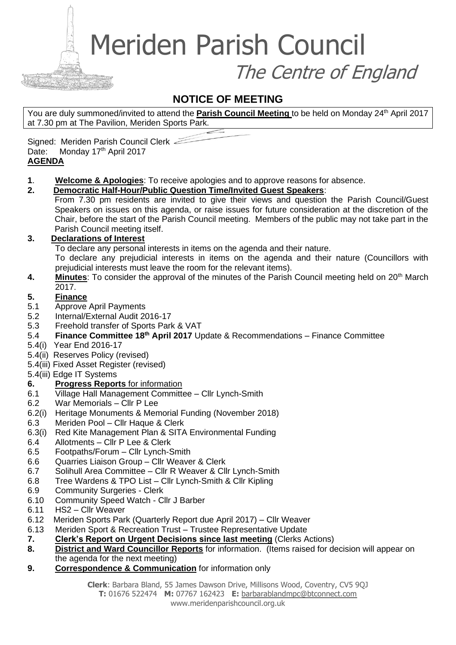Meriden Parish Council

The Centre of England

### **NOTICE OF MEETING**

You are duly summoned/invited to attend the **Parish Council Meeting** to be held on Monday 24<sup>th</sup> April 2017 at 7.30 pm at The Pavilion, Meriden Sports Park.

Signed: Meriden Parish Council Clerk Date: Monday 17th April 2017 **AGENDA** 

**1**. **Welcome & Apologies**: To receive apologies and to approve reasons for absence.

#### **2. Democratic Half-Hour/Public Question Time/Invited Guest Speakers**:

From 7.30 pm residents are invited to give their views and question the Parish Council/Guest Speakers on issues on this agenda, or raise issues for future consideration at the discretion of the Chair, before the start of the Parish Council meeting. Members of the public may not take part in the Parish Council meeting itself.

#### **3. Declarations of Interest**

To declare any personal interests in items on the agenda and their nature.

To declare any prejudicial interests in items on the agenda and their nature (Councillors with prejudicial interests must leave the room for the relevant items).

**4. Minutes:** To consider the approval of the minutes of the Parish Council meeting held on 20<sup>th</sup> March 2017.

#### **5. Finance**

- 5.1 Approve April Payments
- 5.2 Internal/External Audit 2016-17
- 5.3 Freehold transfer of Sports Park & VAT
- 5.4 **Finance Committee 18th April 2017** Update & Recommendations Finance Committee
- 5.4(i) Year End 2016-17
- 5.4(ii) Reserves Policy (revised)
- 5.4(iii) Fixed Asset Register (revised)
- 5.4(iii) Edge IT Systems

#### **6. Progress Reports** for information

- 6.1 Village Hall Management Committee Cllr Lynch-Smith
- 6.2 War Memorials Cllr P Lee
- 6.2(i) Heritage Monuments & Memorial Funding (November 2018)
- 6.3 Meriden Pool Cllr Haque & Clerk
- 6.3(i) Red Kite Management Plan & SITA Environmental Funding
- 6.4 Allotments Cllr P Lee & Clerk
- 6.5 Footpaths/Forum Cllr Lynch-Smith
- 6.6 Quarries Liaison Group Cllr Weaver & Clerk
- 6.7 Solihull Area Committee Cllr R Weaver & Cllr Lynch-Smith
- 6.8 Tree Wardens & TPO List Cllr Lynch-Smith & Cllr Kipling
- 6.9 Community Surgeries Clerk
- 6.10 Community Speed Watch Cllr J Barber
- 6.11 HS2 Cllr Weaver
- 6.12 Meriden Sports Park (Quarterly Report due April 2017) Cllr Weaver
- 6.13 Meriden Sport & Recreation Trust Trustee Representative Update
- **7. Clerk's Report on Urgent Decisions since last meeting** (Clerks Actions)
- **8. District and Ward Councillor Reports** for information. (Items raised for decision will appear on the agenda for the next meeting)
- **9. Correspondence & Communication** for information only

**Clerk**: Barbara Bland, 55 James Dawson Drive, Millisons Wood, Coventry, CV5 9QJ

**T:** 01676 522474 **M:** 07767 162423 **E:** [barbarablandmpc@btconnect.com](mailto:barbarablandmpc@btconnect.com) www.meridenparishcouncil.org.uk